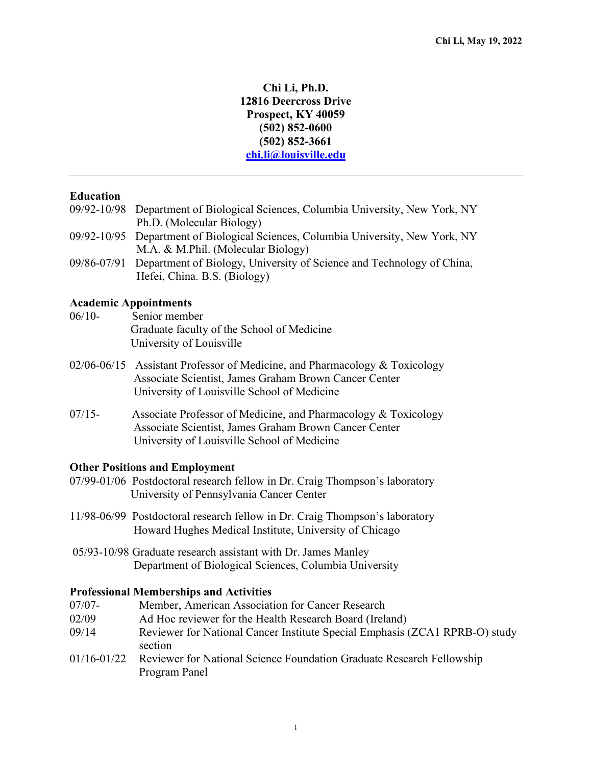# **Chi Li, Ph.D. 12816 Deercross Drive Prospect, KY 40059 (502) 852-0600 (502) 852-3661 chi.li@louisville.edu**

### **Education**

- 09/92-10/98 Department of Biological Sciences, Columbia University, New York, NY Ph.D. (Molecular Biology)
- 09/92-10/95 Department of Biological Sciences, Columbia University, New York, NY M.A. & M.Phil. (Molecular Biology)
- 09/86-07/91 Department of Biology, University of Science and Technology of China, Hefei, China. B.S. (Biology)

### **Academic Appointments**

- 06/10- Senior member Graduate faculty of the School of Medicine University of Louisville
- 02/06-06/15 Assistant Professor of Medicine, and Pharmacology & Toxicology Associate Scientist, James Graham Brown Cancer Center University of Louisville School of Medicine
- 07/15- Associate Professor of Medicine, and Pharmacology & Toxicology Associate Scientist, James Graham Brown Cancer Center University of Louisville School of Medicine

#### **Other Positions and Employment**

- 07/99-01/06 Postdoctoral research fellow in Dr. Craig Thompson's laboratory University of Pennsylvania Cancer Center
- 11/98-06/99 Postdoctoral research fellow in Dr. Craig Thompson's laboratory Howard Hughes Medical Institute, University of Chicago
- 05/93-10/98 Graduate research assistant with Dr. James Manley Department of Biological Sciences, Columbia University

#### **Professional Memberships and Activities**

- 07/07- Member, American Association for Cancer Research
- 02/09 Ad Hoc reviewer for the Health Research Board (Ireland)
- 09/14 Reviewer for National Cancer Institute Special Emphasis (ZCA1 RPRB-O) study section
- 01/16-01/22 Reviewer for National Science Foundation Graduate Research Fellowship Program Panel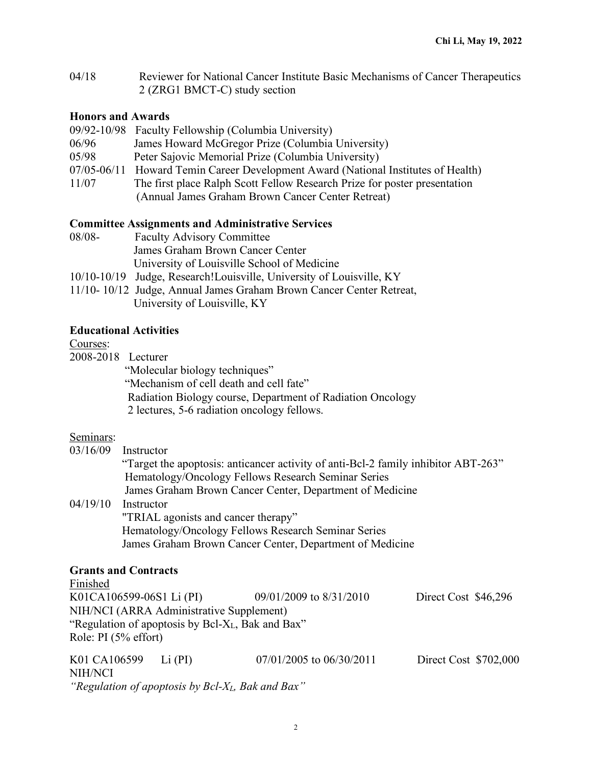04/18 Reviewer for National Cancer Institute Basic Mechanisms of Cancer Therapeutics 2 (ZRG1 BMCT-C) study section

## **Honors and Awards**

|       | 09/92-10/98 Faculty Fellowship (Columbia University)                              |
|-------|-----------------------------------------------------------------------------------|
| 06/96 | James Howard McGregor Prize (Columbia University)                                 |
| 05/98 | Peter Sajovic Memorial Prize (Columbia University)                                |
|       | 07/05-06/11 Howard Temin Career Development Award (National Institutes of Health) |
| 11/07 | The first place Ralph Scott Fellow Research Prize for poster presentation         |
|       | (Annual James Graham Brown Cancer Center Retreat)                                 |

### **Committee Assignments and Administrative Services**

| 08/08- | <b>Faculty Advisory Committee</b>                                     |
|--------|-----------------------------------------------------------------------|
|        | James Graham Brown Cancer Center                                      |
|        | University of Louisville School of Medicine                           |
|        | 10/10-10/19 Judge, Research! Louisville, University of Louisville, KY |
|        | 11/10-10/12 Judge, Annual James Graham Brown Cancer Center Retreat,   |
|        | University of Louisville, KY                                          |

# **Educational Activities**

#### Courses:

2008-2018 Lecturer

"Molecular biology techniques"

"Mechanism of cell death and cell fate"

Radiation Biology course, Department of Radiation Oncology

2 lectures, 5-6 radiation oncology fellows.

### Seminars:

| Instructor                                                                         |
|------------------------------------------------------------------------------------|
| "Target the apoptosis: anticancer activity of anti-Bcl-2 family inhibitor ABT-263" |
| Hematology/Oncology Fellows Research Seminar Series                                |
| James Graham Brown Cancer Center, Department of Medicine                           |
| Instructor                                                                         |
| "TRIAL agonists and cancer therapy"                                                |
| Hematology/Oncology Fellows Research Seminar Series                                |
| James Graham Brown Cancer Center, Department of Medicine                           |
|                                                                                    |
|                                                                                    |

# **Grants and Contracts**

Finished K01CA106599-06S1 Li (PI) 09/01/2009 to 8/31/2010 Direct Cost \$46,296 NIH/NCI (ARRA Administrative Supplement) "Regulation of apoptosis by Bcl-XL, Bak and Bax" Role: PI (5% effort)

K01 CA106599 Li (PI) 07/01/2005 to 06/30/2011 Direct Cost \$702,000 NIH/NCI *"Regulation of apoptosis by Bcl-XL, Bak and Bax"*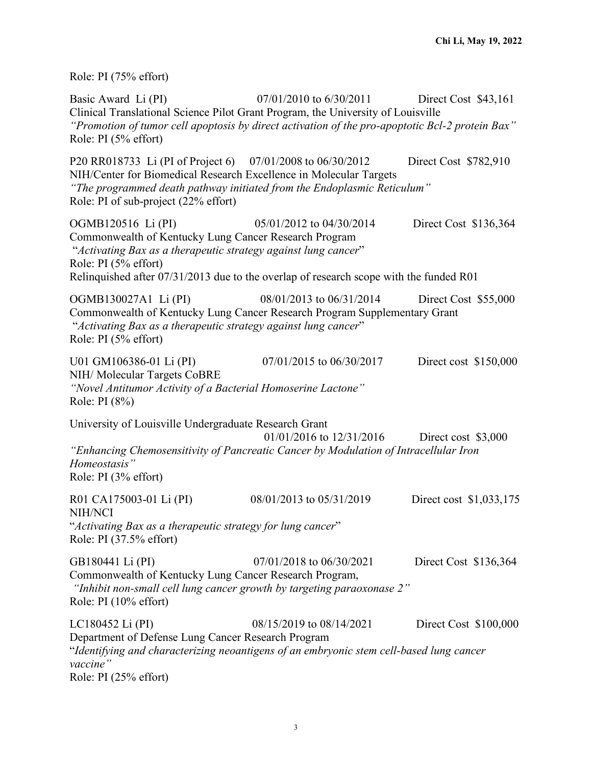Role: PI (75% effort)

Basic Award Li (PI) 07/01/2010 to 6/30/2011 Direct Cost \$43,161 Clinical Translational Science Pilot Grant Program, the University of Louisville *"Promotion of tumor cell apoptosis by direct activation of the pro-apoptotic Bcl-2 protein Bax"* Role: PI (5% effort) P20 RR018733 Li (PI of Project 6) 07/01/2008 to 06/30/2012 Direct Cost \$782,910 NIH/Center for Biomedical Research Excellence in Molecular Targets *"The programmed death pathway initiated from the Endoplasmic Reticulum"* Role: PI of sub-project (22% effort) OGMB120516 Li (PI) 05/01/2012 to 04/30/2014 Direct Cost \$136,364 Commonwealth of Kentucky Lung Cancer Research Program "*Activating Bax as a therapeutic strategy against lung cancer*" Role: PI (5% effort) Relinquished after 07/31/2013 due to the overlap of research scope with the funded R01 OGMB130027A1 Li (PI) 08/01/2013 to 06/31/2014 Direct Cost \$55,000 Commonwealth of Kentucky Lung Cancer Research Program Supplementary Grant "*Activating Bax as a therapeutic strategy against lung cancer*" Role: PI (5% effort) U01 GM106386-01 Li (PI) 07/01/2015 to 06/30/2017 Direct cost \$150,000 NIH/ Molecular Targets CoBRE *"Novel Antitumor Activity of a Bacterial Homoserine Lactone"* Role: PI (8%) University of Louisville Undergraduate Research Grant 01/01/2016 to 12/31/2016 Direct cost \$3,000 *"Enhancing Chemosensitivity of Pancreatic Cancer by Modulation of Intracellular Iron Homeostasis"* Role: PI (3% effort) R01 CA175003-01 Li (PI) 08/01/2013 to 05/31/2019 Direct cost \$1,033,175 NIH/NCI "*Activating Bax as a therapeutic strategy for lung cancer*" Role: PI (37.5% effort) GB180441 Li (PI) 07/01/2018 to 06/30/2021 Direct Cost \$136,364 Commonwealth of Kentucky Lung Cancer Research Program, *"Inhibit non-small cell lung cancer growth by targeting paraoxonase 2"*  Role: PI (10% effort) LC180452 Li (PI) 08/15/2019 to 08/14/2021 Direct Cost \$100,000 Department of Defense Lung Cancer Research Program "*Identifying and characterizing neoantigens of an embryonic stem cell-based lung cancer vaccine"* Role: PI (25% effort)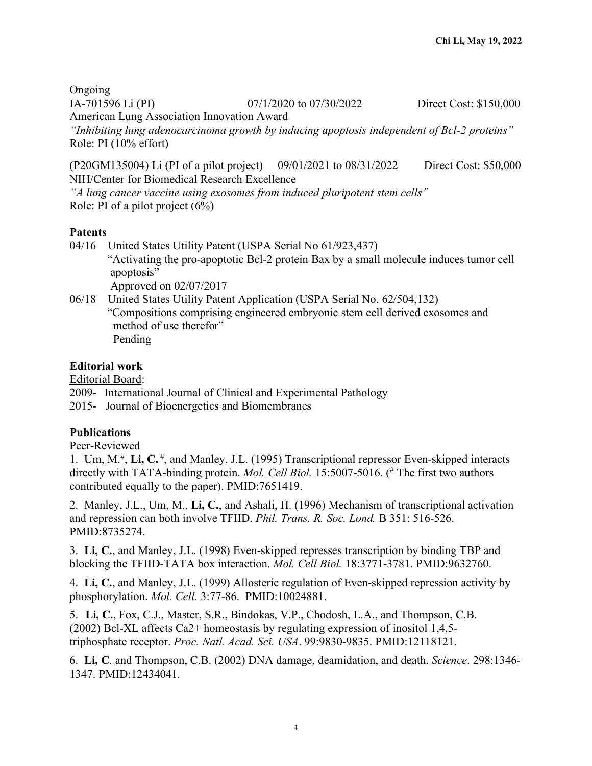**Ongoing** IA-701596 Li (PI) 07/1/2020 to 07/30/2022 Direct Cost: \$150,000 American Lung Association Innovation Award *"Inhibiting lung adenocarcinoma growth by inducing apoptosis independent of Bcl-2 proteins"* Role: PI (10% effort)

(P20GM135004) Li (PI of a pilot project) 09/01/2021 to 08/31/2022 Direct Cost: \$50,000 NIH/Center for Biomedical Research Excellence

*"A lung cancer vaccine using exosomes from induced pluripotent stem cells"* Role: PI of a pilot project (6%)

# **Patents**

- 04/16 United States Utility Patent (USPA Serial No 61/923,437) "Activating the pro-apoptotic Bcl-2 protein Bax by a small molecule induces tumor cell apoptosis" Approved on 02/07/2017
- 06/18 United States Utility Patent Application (USPA Serial No. 62/504,132) "Compositions comprising engineered embryonic stem cell derived exosomes and method of use therefor" Pending

# **Editorial work**

Editorial Board:

2009- International Journal of Clinical and Experimental Pathology

2015- Journal of Bioenergetics and Biomembranes

# **Publications**

### Peer-Reviewed

1. Um, M.<sup>#</sup>, Li, C.<sup>#</sup>, and Manley, J.L. (1995) Transcriptional repressor Even-skipped interacts directly with TATA-binding protein. *Mol. Cell Biol.* 15:5007-5016. ( # The first two authors contributed equally to the paper). PMID:7651419.

2. Manley, J.L., Um, M., **Li, C.**, and Ashali, H. (1996) Mechanism of transcriptional activation and repression can both involve TFIID. *Phil. Trans. R. Soc. Lond.* B 351: 516-526. PMID:8735274.

3. **Li, C.**, and Manley, J.L. (1998) Even-skipped represses transcription by binding TBP and blocking the TFIID-TATA box interaction. *Mol. Cell Biol.* 18:3771-3781. PMID:9632760.

4. **Li, C.**, and Manley, J.L. (1999) Allosteric regulation of Even-skipped repression activity by phosphorylation. *Mol. Cell.* 3:77-86. PMID:10024881.

5. **Li, C.**, Fox, C.J., Master, S.R., Bindokas, V.P., Chodosh, L.A., and Thompson, C.B. (2002) Bcl-XL affects Ca2+ homeostasis by regulating expression of inositol 1,4,5 triphosphate receptor. *Proc. Natl. Acad. Sci. USA*. 99:9830-9835. PMID:12118121.

6. **Li, C**. and Thompson, C.B. (2002) DNA damage, deamidation, and death. *Science*. 298:1346- 1347. PMID:12434041.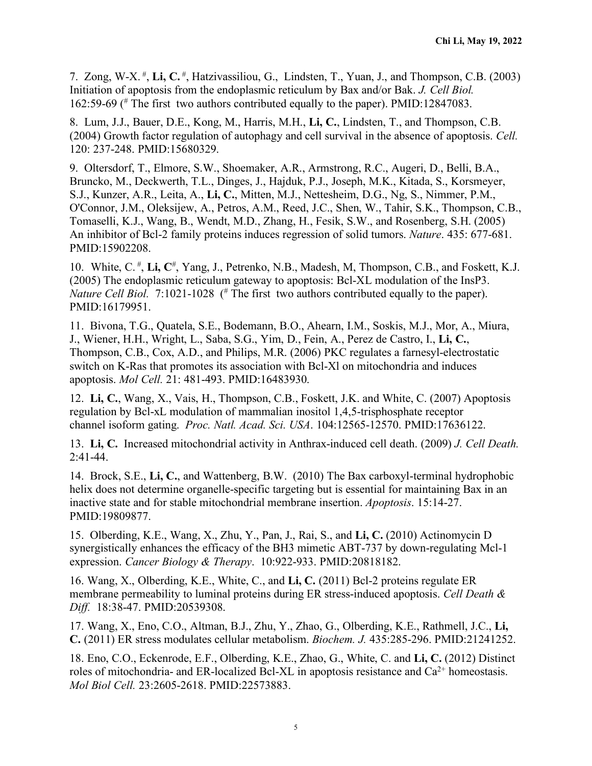7. Zong, W-X. # , **Li, C.** # , Hatzivassiliou, G., Lindsten, T., Yuan, J., and Thompson, C.B. (2003) Initiation of apoptosis from the endoplasmic reticulum by Bax and/or Bak. *J. Cell Biol.*  162:59-69 (# The first two authors contributed equally to the paper). PMID:12847083.

8. Lum, J.J., Bauer, D.E., Kong, M., Harris, M.H., **Li, C.**, Lindsten, T., and Thompson, C.B. (2004) Growth factor regulation of autophagy and cell survival in the absence of apoptosis. *Cell.* 120: 237-248. PMID:15680329.

9. Oltersdorf, T., Elmore, S.W., Shoemaker, A.R., Armstrong, R.C., Augeri, D., Belli, B.A., Bruncko, M., Deckwerth, T.L., Dinges, J., Hajduk, P.J., Joseph, M.K., Kitada, S., Korsmeyer, S.J., Kunzer, A.R., Leita, A., **Li, C.**, Mitten, M.J., Nettesheim, D.G., Ng, S., Nimmer, P.M., O'Connor, J.M., Oleksijew, A., Petros, A.M., Reed, J.C., Shen, W., Tahir, S.K., Thompson, C.B., Tomaselli, K.J., Wang, B., Wendt, M.D., Zhang, H., Fesik, S.W., and Rosenberg, S.H. (2005) An inhibitor of Bcl-2 family proteins induces regression of solid tumors. *Nature*. 435: 677-681. PMID:15902208.

10. White, C.<sup>#</sup>, Li, C<sup>#</sup>, Yang, J., Petrenko, N.B., Madesh, M, Thompson, C.B., and Foskett, K.J. (2005) The endoplasmic reticulum gateway to apoptosis: Bcl-XL modulation of the InsP3. *Nature Cell Biol.* 7:1021-1028 (<sup>#</sup> The first two authors contributed equally to the paper). PMID:16179951.

11. Bivona, T.G., Quatela, S.E., Bodemann, B.O., Ahearn, I.M., Soskis, M.J., Mor, A., Miura, J., Wiener, H.H., Wright, L., Saba, S.G., Yim, D., Fein, A., Perez de Castro, I., **Li, C.**, Thompson, C.B., Cox, A.D., and Philips, M.R. (2006) PKC regulates a farnesyl-electrostatic switch on K-Ras that promotes its association with Bcl-Xl on mitochondria and induces apoptosis. *Mol Cell.* 21: 481-493. PMID:16483930.

12. **Li, C.**, Wang, X., Vais, H., Thompson, C.B., Foskett, J.K. and White, C. (2007) Apoptosis regulation by Bcl-xL modulation of mammalian inositol 1,4,5-trisphosphate receptor channel isoform gating. *Proc. Natl. Acad. Sci. USA*. 104:12565-12570. PMID:17636122.

13. **Li, C.** Increased mitochondrial activity in Anthrax-induced cell death. (2009) *J. Cell Death.* 2:41-44.

14. Brock, S.E., **Li, C.**, and Wattenberg, B.W. (2010) The Bax carboxyl-terminal hydrophobic helix does not determine organelle-specific targeting but is essential for maintaining Bax in an inactive state and for stable mitochondrial membrane insertion. *Apoptosis*. 15:14-27. PMID:19809877.

15. Olberding, K.E., Wang, X., Zhu, Y., Pan, J., Rai, S., and **Li, C.** (2010) Actinomycin D synergistically enhances the efficacy of the BH3 mimetic ABT-737 by down-regulating Mcl-1 expression. *Cancer Biology & Therapy*. 10:922-933. PMID:20818182.

16. Wang, X., Olberding, K.E., White, C., and **Li, C.** (2011) Bcl-2 proteins regulate ER membrane permeability to luminal proteins during ER stress-induced apoptosis. *Cell Death & Diff.* 18:38-47. PMID:20539308.

17. Wang, X., Eno, C.O., Altman, B.J., Zhu, Y., Zhao, G., Olberding, K.E., Rathmell, J.C., **Li, C.** (2011) ER stress modulates cellular metabolism. *Biochem. J.* 435:285-296. PMID:21241252.

18. Eno, C.O., Eckenrode, E.F., Olberding, K.E., Zhao, G., White, C. and **Li, C.** (2012) Distinct roles of mitochondria- and ER-localized Bcl-XL in apoptosis resistance and  $Ca<sup>2+</sup>$  homeostasis. *Mol Biol Cell.* 23:2605-2618. PMID:22573883.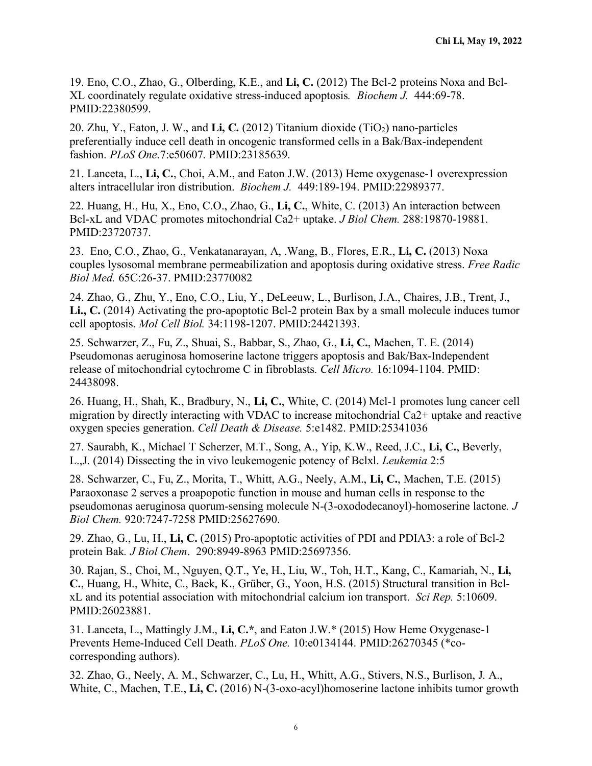19. Eno, C.O., Zhao, G., Olberding, K.E., and **Li, C.** (2012) The Bcl-2 proteins Noxa and Bcl-XL coordinately regulate oxidative stress-induced apoptosis*. Biochem J.* 444:69-78. PMID:22380599.

20. Zhu, Y., Eaton, J. W., and **Li, C.** (2012) Titanium dioxide (TiO2) nano-particles preferentially induce cell death in oncogenic transformed cells in a Bak/Bax-independent fashion. *PLoS One*.7:e50607. PMID:23185639.

21. Lanceta, L., **Li, C.**, Choi, A.M., and Eaton J.W. (2013) Heme oxygenase-1 overexpression alters intracellular iron distribution. *Biochem J.* 449:189-194. PMID:22989377.

22. Huang, H., Hu, X., Eno, C.O., Zhao, G., **Li, C.**, White, C. (2013) An interaction between Bcl-xL and VDAC promotes mitochondrial Ca2+ uptake. *J Biol Chem.* 288:19870-19881. PMID:23720737.

23. Eno, C.O., Zhao, G., Venkatanarayan, A, .Wang, B., Flores, E.R., **Li, C.** (2013) Noxa couples lysosomal membrane permeabilization and apoptosis during oxidative stress. *Free Radic Biol Med.* 65C:26-37. PMID:23770082

24. Zhao, G., Zhu, Y., Eno, C.O., Liu, Y., DeLeeuw, L., Burlison, J.A., Chaires, J.B., Trent, J., **Li., C.** (2014) Activating the pro-apoptotic Bcl-2 protein Bax by a small molecule induces tumor cell apoptosis. *Mol Cell Biol.* 34:1198-1207. PMID:24421393.

25. Schwarzer, Z., Fu, Z., Shuai, S., Babbar, S., Zhao, G., **Li, C.**, Machen, T. E. (2014) Pseudomonas aeruginosa homoserine lactone triggers apoptosis and Bak/Bax-Independent release of mitochondrial cytochrome C in fibroblasts. *Cell Micro.* 16:1094-1104. PMID: 24438098.

26. Huang, H., Shah, K., Bradbury, N., **Li, C.**, White, C. (2014) Mcl-1 promotes lung cancer cell migration by directly interacting with VDAC to increase mitochondrial Ca2+ uptake and reactive oxygen species generation. *Cell Death & Disease.* 5:e1482. PMID:25341036

27. Saurabh, K., Michael T Scherzer, M.T., Song, A., Yip, K.W., Reed, J.C., **Li, C.**, Beverly, L.,J. (2014) Dissecting the in vivo leukemogenic potency of Bclxl. *Leukemia* 2:5

28. Schwarzer, C., Fu, Z., Morita, T., Whitt, A.G., Neely, A.M., **Li, C.**, Machen, T.E. (2015) Paraoxonase 2 serves a proapopotic function in mouse and human cells in response to the pseudomonas aeruginosa quorum-sensing molecule N-(3-oxododecanoyl)-homoserine lactone*. J Biol Chem.* 920:7247-7258 PMID:25627690.

29. Zhao, G., Lu, H., **Li, C.** (2015) Pro-apoptotic activities of PDI and PDIA3: a role of Bcl-2 protein Bak*. J Biol Chem*. 290:8949-8963 PMID:25697356.

30. Rajan, S., Choi, M., Nguyen, Q.T., Ye, H., Liu, W., Toh, H.T., Kang, C., Kamariah, N., **Li, C.**, Huang, H., White, C., Baek, K., Grüber, G., Yoon, H.S. (2015) Structural transition in BclxL and its potential association with mitochondrial calcium ion transport. *Sci Rep.* 5:10609. PMID:26023881.

31. Lanceta, L., Mattingly J.M., **Li, C.\***, and Eaton J.W.\* (2015) How Heme Oxygenase-1 Prevents Heme-Induced Cell Death. *PLoS One.* 10:e0134144. PMID:26270345 (\*cocorresponding authors).

32. Zhao, G., Neely, A. M., Schwarzer, C., Lu, H., Whitt, A.G., Stivers, N.S., Burlison, J. A., White, C., Machen, T.E., **Li, C.** (2016) N-(3-oxo-acyl)homoserine lactone inhibits tumor growth